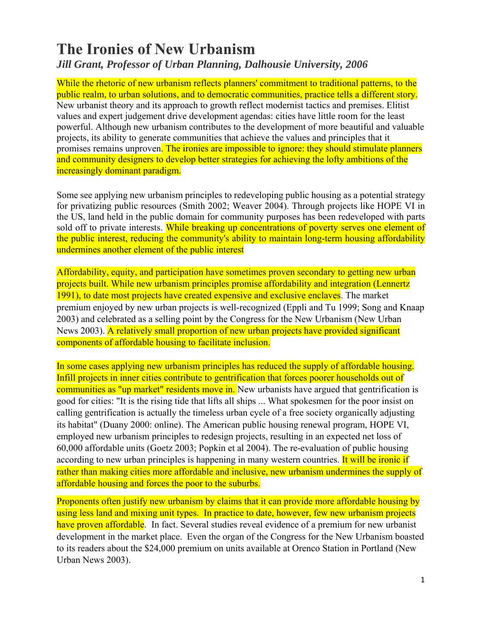# **The Ironies of New Urbanism**

#### *Jill Grant, Professor of Urban Planning, Dalhousie University, 2006*

While the rhetoric of new urbanism reflects planners' commitment to traditional patterns, to the public realm, to urban solutions, and to democratic communities, practice tells a different story. New urbanist theory and its approach to growth reflect modernist tactics and premises. Elitist values and expert judgement drive development agendas: cities have little room for the least powerful. Although new urbanism contributes to the development of more beautiful and valuable projects, its ability to generate communities that achieve the values and principles that it promises remains unproven. The ironies are impossible to ignore: they should stimulate planners and community designers to develop better strategies for achieving the lofty ambitions of the increasingly dominant paradigm.

Some see applying new urbanism principles to redeveloping public housing as a potential strategy for privatizing public resources (Smith 2002; Weaver 2004). Through projects like HOPE VI in the US, land held in the public domain for community purposes has been redeveloped with parts sold off to private interests. While breaking up concentrations of poverty serves one element of the public interest, reducing the community's ability to maintain long-term housing affordability undermines another element of the public interest

Affordability, equity, and participation have sometimes proven secondary to getting new urban projects built. While new urbanism principles promise affordability and integration (Lennertz 1991), to date most projects have created expensive and exclusive enclaves. The market premium enjoyed by new urban projects is well-recognized (Eppli and Tu 1999; Song and Knaap 2003) and celebrated as a selling point by the Congress for the New Urbanism (New Urban News 2003). A relatively small proportion of new urban projects have provided significant components of affordable housing to facilitate inclusion.

In some cases applying new urbanism principles has reduced the supply of affordable housing. Infill projects in inner cities contribute to gentrification that forces poorer households out of communities as "up market" residents move in. New urbanists have argued that gentrification is good for cities: "It is the rising tide that lifts all ships ... What spokesmen for the poor insist on calling gentrification is actually the timeless urban cycle of a free society organically adjusting its habitat" (Duany 2000: online). The American public housing renewal program, HOPE VI, employed new urbanism principles to redesign projects, resulting in an expected net loss of 60,000 affordable units (Goetz 2003; Popkin et al 2004). The re-evaluation of public housing according to new urban principles is happening in many western countries. It will be ironic if rather than making cities more affordable and inclusive, new urbanism undermines the supply of affordable housing and forces the poor to the suburbs.

Proponents often justify new urbanism by claims that it can provide more affordable housing by using less land and mixing unit types. In practice to date, however, few new urbanism projects have proven affordable. In fact. Several studies reveal evidence of a premium for new urbanist development in the market place. Even the organ of the Congress for the New Urbanism boasted to its readers about the \$24,000 premium on units available at Orenco Station in Portland (New Urban News 2003).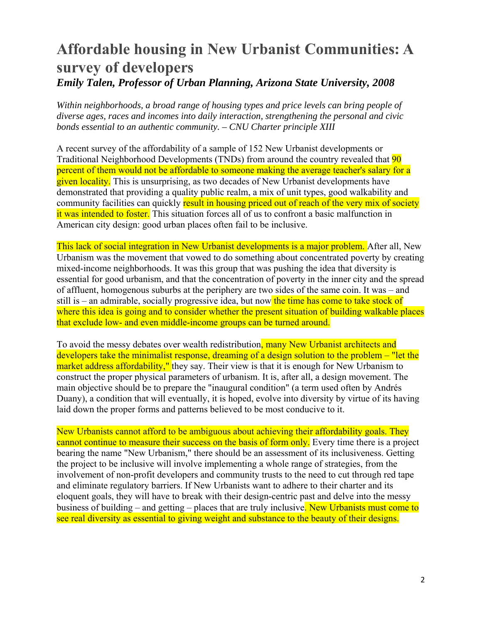### **Affordable housing in New Urbanist Communities: A survey of developers**  *Emily Talen, Professor of Urban Planning, Arizona State University, 2008*

*Within neighborhoods, a broad range of housing types and price levels can bring people of diverse ages, races and incomes into daily interaction, strengthening the personal and civic bonds essential to an authentic community. – CNU Charter principle XIII* 

A recent survey of the affordability of a sample of 152 New Urbanist developments or Traditional Neighborhood Developments (TNDs) from around the country revealed that 90 percent of them would not be affordable to someone making the average teacher's salary for a given locality. This is unsurprising, as two decades of New Urbanist developments have demonstrated that providing a quality public realm, a mix of unit types, good walkability and community facilities can quickly result in housing priced out of reach of the very mix of society it was intended to foster. This situation forces all of us to confront a basic malfunction in American city design: good urban places often fail to be inclusive.

This lack of social integration in New Urbanist developments is a major problem. After all, New Urbanism was the movement that vowed to do something about concentrated poverty by creating mixed-income neighborhoods. It was this group that was pushing the idea that diversity is essential for good urbanism, and that the concentration of poverty in the inner city and the spread of affluent, homogenous suburbs at the periphery are two sides of the same coin. It was – and still is – an admirable, socially progressive idea, but now the time has come to take stock of where this idea is going and to consider whether the present situation of building walkable places that exclude low- and even middle-income groups can be turned around.

To avoid the messy debates over wealth redistribution, many New Urbanist architects and developers take the minimalist response, dreaming of a design solution to the problem – "let the market address affordability," they say. Their view is that it is enough for New Urbanism to construct the proper physical parameters of urbanism. It is, after all, a design movement. The main objective should be to prepare the "inaugural condition" (a term used often by Andrés Duany), a condition that will eventually, it is hoped, evolve into diversity by virtue of its having laid down the proper forms and patterns believed to be most conducive to it.

New Urbanists cannot afford to be ambiguous about achieving their affordability goals. They cannot continue to measure their success on the basis of form only. Every time there is a project bearing the name "New Urbanism," there should be an assessment of its inclusiveness. Getting the project to be inclusive will involve implementing a whole range of strategies, from the involvement of non-profit developers and community trusts to the need to cut through red tape and eliminate regulatory barriers. If New Urbanists want to adhere to their charter and its eloquent goals, they will have to break with their design-centric past and delve into the messy business of building – and getting – places that are truly inclusive. New Urbanists must come to see real diversity as essential to giving weight and substance to the beauty of their designs.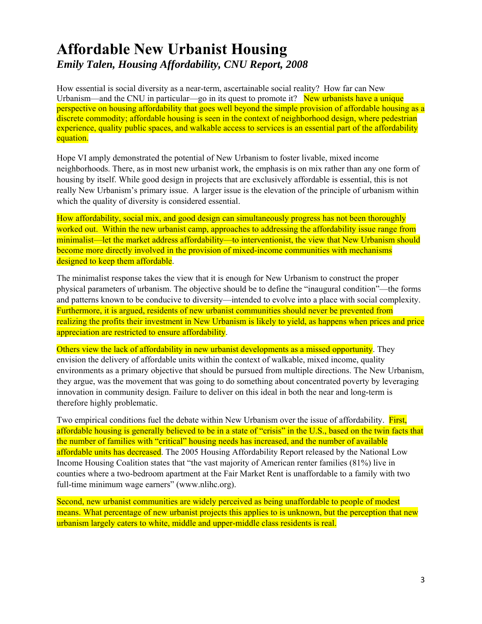### **Affordable New Urbanist Housing**  *Emily Talen, Housing Affordability, CNU Report, 2008*

How essential is social diversity as a near-term, ascertainable social reality? How far can New Urbanism—and the CNU in particular—go in its quest to promote it? New urbanists have a unique perspective on housing affordability that goes well beyond the simple provision of affordable housing as a discrete commodity; affordable housing is seen in the context of neighborhood design, where pedestrian experience, quality public spaces, and walkable access to services is an essential part of the affordability equation.

Hope VI amply demonstrated the potential of New Urbanism to foster livable, mixed income neighborhoods. There, as in most new urbanist work, the emphasis is on mix rather than any one form of housing by itself. While good design in projects that are exclusively affordable is essential, this is not really New Urbanism's primary issue. A larger issue is the elevation of the principle of urbanism within which the quality of diversity is considered essential.

How affordability, social mix, and good design can simultaneously progress has not been thoroughly worked out. Within the new urbanist camp, approaches to addressing the affordability issue range from minimalist—let the market address affordability—to interventionist, the view that New Urbanism should become more directly involved in the provision of mixed-income communities with mechanisms designed to keep them affordable.

The minimalist response takes the view that it is enough for New Urbanism to construct the proper physical parameters of urbanism. The objective should be to define the "inaugural condition"—the forms and patterns known to be conducive to diversity—intended to evolve into a place with social complexity. Furthermore, it is argued, residents of new urbanist communities should never be prevented from realizing the profits their investment in New Urbanism is likely to yield, as happens when prices and price appreciation are restricted to ensure affordability.

Others view the lack of affordability in new urbanist developments as a missed opportunity. They envision the delivery of affordable units within the context of walkable, mixed income, quality environments as a primary objective that should be pursued from multiple directions. The New Urbanism, they argue, was the movement that was going to do something about concentrated poverty by leveraging innovation in community design. Failure to deliver on this ideal in both the near and long-term is therefore highly problematic.

Two empirical conditions fuel the debate within New Urbanism over the issue of affordability. First, affordable housing is generally believed to be in a state of "crisis" in the U.S., based on the twin facts that the number of families with "critical" housing needs has increased, and the number of available affordable units has decreased. The 2005 Housing Affordability Report released by the National Low Income Housing Coalition states that "the vast majority of American renter families (81%) live in counties where a two-bedroom apartment at the Fair Market Rent is unaffordable to a family with two full-time minimum wage earners" (www.nlihc.org).

Second, new urbanist communities are widely perceived as being unaffordable to people of modest means. What percentage of new urbanist projects this applies to is unknown, but the perception that new urbanism largely caters to white, middle and upper-middle class residents is real.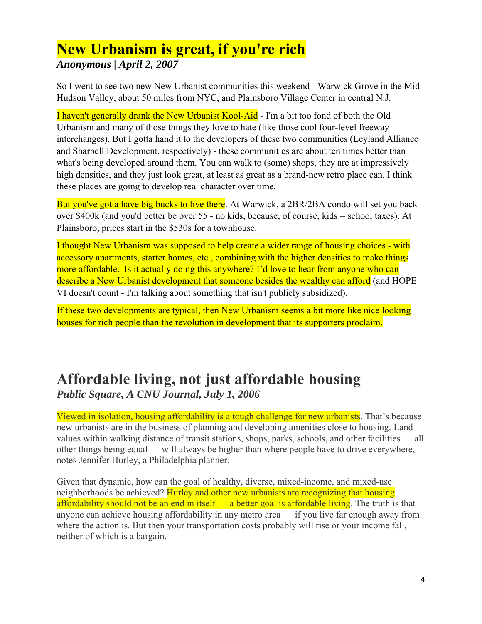### **New Urbanism is great, if you're rich** *Anonymous | April 2, 2007*

So I went to see two new New Urbanist communities this weekend - Warwick Grove in the Mid-Hudson Valley, about 50 miles from NYC, and Plainsboro Village Center in central N.J.

I haven't generally drank the New Urbanist Kool-Aid - I'm a bit too fond of both the Old Urbanism and many of those things they love to hate (like those cool four-level freeway interchanges). But I gotta hand it to the developers of these two communities (Leyland Alliance and Sharbell Development, respectively) - these communities are about ten times better than what's being developed around them. You can walk to (some) shops, they are at impressively high densities, and they just look great, at least as great as a brand-new retro place can. I think these places are going to develop real character over time.

But you've gotta have big bucks to live there. At Warwick, a 2BR/2BA condo will set you back over \$400k (and you'd better be over 55 - no kids, because, of course, kids = school taxes). At Plainsboro, prices start in the \$530s for a townhouse.

I thought New Urbanism was supposed to help create a wider range of housing choices - with accessory apartments, starter homes, etc., combining with the higher densities to make things more affordable. Is it actually doing this anywhere? I'd love to hear from anyone who can describe a New Urbanist development that someone besides the wealthy can afford (and HOPE VI doesn't count - I'm talking about something that isn't publicly subsidized).

If these two developments are typical, then New Urbanism seems a bit more like nice looking houses for rich people than the revolution in development that its supporters proclaim.

### **Affordable living, not just affordable housing**  *Public Square, A CNU Journal, July 1, 2006*

Viewed in isolation, housing affordability is a tough challenge for new urbanists. That's because new urbanists are in the business of planning and developing amenities close to housing. Land values within walking distance of transit stations, shops, parks, schools, and other facilities — all other things being equal — will always be higher than where people have to drive everywhere, notes Jennifer Hurley, a Philadelphia planner.

Given that dynamic, how can the goal of healthy, diverse, mixed-income, and mixed-use neighborhoods be achieved? Hurley and other new urbanists are recognizing that housing affordability should not be an end in itself — a better goal is affordable living. The truth is that anyone can achieve housing affordability in any metro area — if you live far enough away from where the action is. But then your transportation costs probably will rise or your income fall, neither of which is a bargain.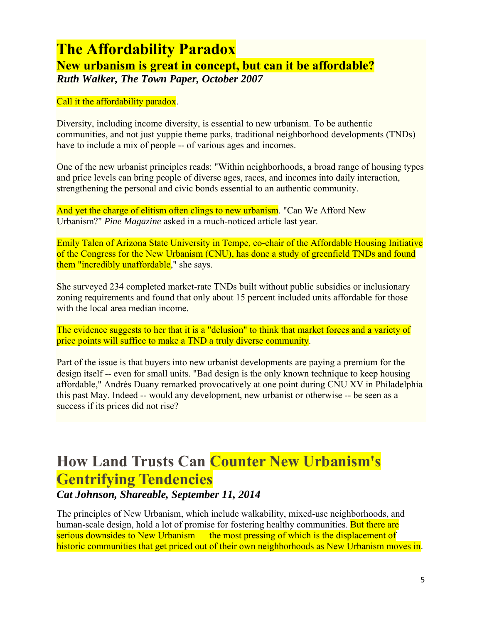### **The Affordability Paradox New urbanism is great in concept, but can it be affordable?**  *Ruth Walker, The Town Paper, October 2007*

Call it the affordability paradox.

Diversity, including income diversity, is essential to new urbanism. To be authentic communities, and not just yuppie theme parks, traditional neighborhood developments (TNDs) have to include a mix of people -- of various ages and incomes.

One of the new urbanist principles reads: "Within neighborhoods, a broad range of housing types and price levels can bring people of diverse ages, races, and incomes into daily interaction, strengthening the personal and civic bonds essential to an authentic community.

And yet the charge of elitism often clings to new urbanism. "Can We Afford New Urbanism?" *Pine Magazine* asked in a much-noticed article last year.

Emily Talen of Arizona State University in Tempe, co-chair of the Affordable Housing Initiative of the Congress for the New Urbanism (CNU), has done a study of greenfield TNDs and found them "incredibly unaffordable," she says.

She surveyed 234 completed market-rate TNDs built without public subsidies or inclusionary zoning requirements and found that only about 15 percent included units affordable for those with the local area median income.

The evidence suggests to her that it is a "delusion" to think that market forces and a variety of price points will suffice to make a TND a truly diverse community.

Part of the issue is that buyers into new urbanist developments are paying a premium for the design itself -- even for small units. "Bad design is the only known technique to keep housing affordable," Andrés Duany remarked provocatively at one point during CNU XV in Philadelphia this past May. Indeed -- would any development, new urbanist or otherwise -- be seen as a success if its prices did not rise?

### **How Land Trusts Can Counter New Urbanism's Gentrifying Tendencies** *Cat Johnson, Shareable, September 11, 2014*

The principles of New Urbanism, which include walkability, mixed-use neighborhoods, and human-scale design, hold a lot of promise for fostering healthy communities. But there are serious downsides to New Urbanism — the most pressing of which is the displacement of historic communities that get priced out of their own neighborhoods as New Urbanism moves in.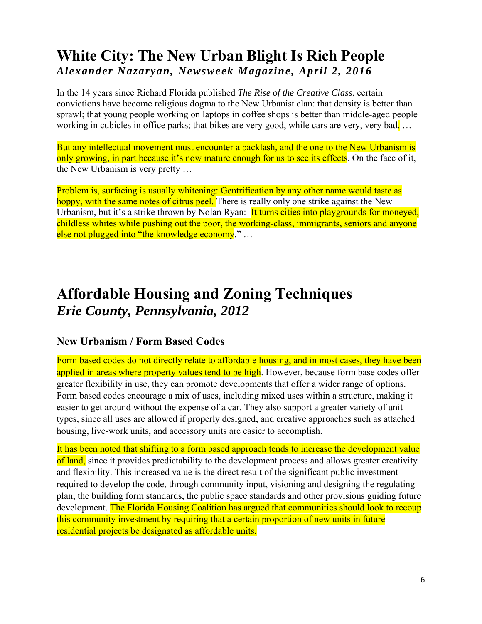### **White City: The New Urban Blight Is Rich People**  *Alexander Nazaryan, Newsweek Magazine, April 2, 2016*

In the 14 years since Richard Florida published *The Rise of the Creative Class*, certain convictions have become religious dogma to the New Urbanist clan: that density is better than sprawl; that young people working on laptops in coffee shops is better than middle-aged people working in cubicles in office parks; that bikes are very good, while cars are very, very bad...

But any intellectual movement must encounter a backlash, and the one to the New Urbanism is only growing, in part because it's now mature enough for us to see its effects. On the face of it, the New Urbanism is very pretty …

Problem is, surfacing is usually whitening: Gentrification by any other name would taste as hoppy, with the same notes of citrus peel. There is really only one strike against the New Urbanism, but it's a strike thrown by Nolan Ryan: It turns cities into play grounds for moneyed, childless whites while pushing out the poor, the working-class, immigrants, seniors and anyone else not plugged into "the knowledge economy." …

## **Affordable Housing and Zoning Techniques**  *Erie County, Pennsylvania, 2012*

#### **New Urbanism / Form Based Codes**

Form based codes do not directly relate to affordable housing, and in most cases, they have been applied in areas where property values tend to be high. However, because form base codes offer greater flexibility in use, they can promote developments that offer a wider range of options. Form based codes encourage a mix of uses, including mixed uses within a structure, making it easier to get around without the expense of a car. They also support a greater variety of unit types, since all uses are allowed if properly designed, and creative approaches such as attached housing, live-work units, and accessory units are easier to accomplish.

It has been noted that shifting to a form based approach tends to increase the development value of land, since it provides predictability to the development process and allows greater creativity and flexibility. This increased value is the direct result of the significant public investment required to develop the code, through community input, visioning and designing the regulating plan, the building form standards, the public space standards and other provisions guiding future development. The Florida Housing Coalition has argued that communities should look to recoup this community investment by requiring that a certain proportion of new units in future residential projects be designated as affordable units.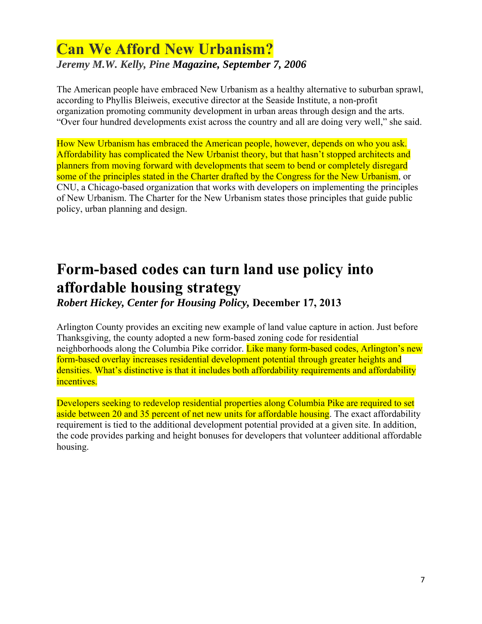### **Can We Afford New Urbanism?**  *Jeremy M.W. Kelly, Pine Magazine, September 7, 2006*

The American people have embraced New Urbanism as a healthy alternative to suburban sprawl, according to Phyllis Bleiweis, executive director at the Seaside Institute, a non-profit organization promoting community development in urban areas through design and the arts. "Over four hundred developments exist across the country and all are doing very well," she said.

How New Urbanism has embraced the American people, however, depends on who you ask. Affordability has complicated the New Urbanist theory, but that hasn't stopped architects and planners from moving forward with developments that seem to bend or completely disregard some of the principles stated in the Charter drafted by the Congress for the New Urbanism, or CNU, a Chicago-based organization that works with developers on implementing the principles of New Urbanism. The Charter for the New Urbanism states those principles that guide public policy, urban planning and design.

# **Form-based codes can turn land use policy into affordable housing strategy**

*Robert Hickey, Center for Housing Policy,* **December 17, 2013** 

Arlington County provides an exciting new example of land value capture in action. Just before Thanksgiving, the county adopted a new form-based zoning code for residential neighborhoods along the Columbia Pike corridor. Like many form-based codes, Arlington's new form-based overlay increases residential development potential through greater heights and densities. What's distinctive is that it includes both affordability requirements and affordability incentives.

Developers seeking to redevelop residential properties along Columbia Pike are required to set aside between 20 and 35 percent of net new units for affordable housing. The exact affordability requirement is tied to the additional development potential provided at a given site. In addition, the code provides parking and height bonuses for developers that volunteer additional affordable housing.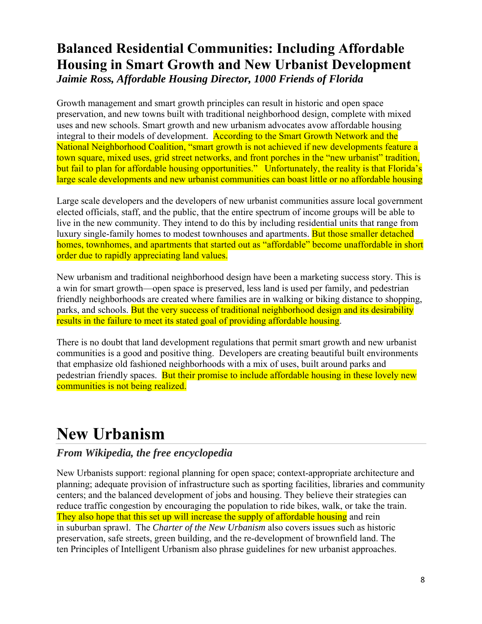### **Balanced Residential Communities: Including Affordable Housing in Smart Growth and New Urbanist Development**  *Jaimie Ross, Affordable Housing Director, 1000 Friends of Florida*

Growth management and smart growth principles can result in historic and open space preservation, and new towns built with traditional neighborhood design, complete with mixed uses and new schools. Smart growth and new urbanism advocates avow affordable housing integral to their models of development. According to the Smart Growth Network and the National Neighborhood Coalition, "smart growth is not achieved if new developments feature a town square, mixed uses, grid street networks, and front porches in the "new urbanist" tradition, but fail to plan for affordable housing opportunities." Unfortunately, the reality is that Florida's large scale developments and new urbanist communities can boast little or no affordable housing

Large scale developers and the developers of new urbanist communities assure local government elected officials, staff, and the public, that the entire spectrum of income groups will be able to live in the new community. They intend to do this by including residential units that range from luxury single-family homes to modest townhouses and apartments. But those smaller detached homes, townhomes, and apartments that started out as "affordable" become unaffordable in short order due to rapidly appreciating land values.

New urbanism and traditional neighborhood design have been a marketing success story. This is a win for smart growth—open space is preserved, less land is used per family, and pedestrian friendly neighborhoods are created where families are in walking or biking distance to shopping, parks, and schools. But the very success of traditional neighborhood design and its desirability results in the failure to meet its stated goal of providing affordable housing.

There is no doubt that land development regulations that permit smart growth and new urbanist communities is a good and positive thing. Developers are creating beautiful built environments that emphasize old fashioned neighborhoods with a mix of uses, built around parks and pedestrian friendly spaces. But their promise to include affordable housing in these lovely new communities is not being realized.

# **New Urbanism**

#### *From Wikipedia, the free encyclopedia*

New Urbanists support: regional planning for open space; context-appropriate architecture and planning; adequate provision of infrastructure such as sporting facilities, libraries and community centers; and the balanced development of jobs and housing. They believe their strategies can reduce traffic congestion by encouraging the population to ride bikes, walk, or take the train. They also hope that this set up will increase the supply of affordable housing and rein in suburban sprawl. The *Charter of the New Urbanism* also covers issues such as historic preservation, safe streets, green building, and the re-development of brownfield land. The ten Principles of Intelligent Urbanism also phrase guidelines for new urbanist approaches.